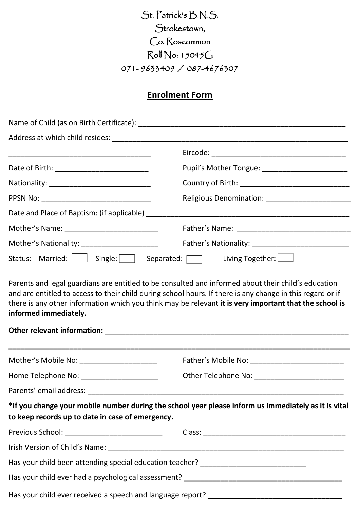St. Patrick's B.N.S. Strokestown, Co. Roscommon Roll No: 15045G 071- 9633409 / 087-4676307

# **Enrolment Form**

|                                                                | Pupil's Mother Tongue: ________________________                                                      |  |  |  |  |  |  |
|----------------------------------------------------------------|------------------------------------------------------------------------------------------------------|--|--|--|--|--|--|
|                                                                |                                                                                                      |  |  |  |  |  |  |
|                                                                |                                                                                                      |  |  |  |  |  |  |
|                                                                |                                                                                                      |  |  |  |  |  |  |
|                                                                |                                                                                                      |  |  |  |  |  |  |
| Mother's Nationality: __________________________               |                                                                                                      |  |  |  |  |  |  |
| Status: Married:     Single: Separated:       Living Together: |                                                                                                      |  |  |  |  |  |  |
|                                                                |                                                                                                      |  |  |  |  |  |  |
| Mother's Mobile No: ______________________                     |                                                                                                      |  |  |  |  |  |  |
|                                                                |                                                                                                      |  |  |  |  |  |  |
|                                                                |                                                                                                      |  |  |  |  |  |  |
| to keep records up to date in case of emergency.               | *If you change your mobile number during the school year please inform us immediately as it is vital |  |  |  |  |  |  |
| Previous School: ______________________________                |                                                                                                      |  |  |  |  |  |  |
|                                                                |                                                                                                      |  |  |  |  |  |  |
|                                                                | Has your child been attending special education teacher? _______________________                     |  |  |  |  |  |  |
|                                                                |                                                                                                      |  |  |  |  |  |  |
|                                                                |                                                                                                      |  |  |  |  |  |  |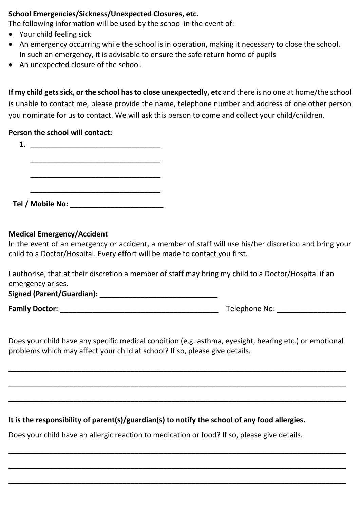### **School Emergencies/Sickness/Unexpected Closures, etc.**

The following information will be used by the school in the event of:

- Your child feeling sick
- An emergency occurring while the school is in operation, making it necessary to close the school. In such an emergency, it is advisable to ensure the safe return home of pupils
- An unexpected closure of the school.

**If my child gets sick, or the school has to close unexpectedly, etc** and there is no one at home/the school is unable to contact me, please provide the name, telephone number and address of one other person you nominate for us to contact. We will ask this person to come and collect your child/children.

### **Person the school will contact:**

## **Medical Emergency/Accident**

In the event of an emergency or accident, a member of staff will use his/her discretion and bring your child to a Doctor/Hospital. Every effort will be made to contact you first.

I authorise, that at their discretion a member of staff may bring my child to a Doctor/Hospital if an emergency arises.

**Signed (Parent/Guardian):** \_\_\_\_\_\_\_\_\_\_\_\_\_\_\_\_\_\_\_\_\_\_\_\_\_\_\_\_\_

**Family Doctor: Family Doctor: Example 2018 Telephone No: Example 2018 Telephone No:**  $\overline{C}$ 

Does your child have any specific medical condition (e.g. asthma, eyesight, hearing etc.) or emotional problems which may affect your child at school? If so, please give details.

\_\_\_\_\_\_\_\_\_\_\_\_\_\_\_\_\_\_\_\_\_\_\_\_\_\_\_\_\_\_\_\_\_\_\_\_\_\_\_\_\_\_\_\_\_\_\_\_\_\_\_\_\_\_\_\_\_\_\_\_\_\_\_\_\_\_\_\_\_\_\_\_\_\_\_\_\_\_\_\_\_\_\_

\_\_\_\_\_\_\_\_\_\_\_\_\_\_\_\_\_\_\_\_\_\_\_\_\_\_\_\_\_\_\_\_\_\_\_\_\_\_\_\_\_\_\_\_\_\_\_\_\_\_\_\_\_\_\_\_\_\_\_\_\_\_\_\_\_\_\_\_\_\_\_\_\_\_\_\_\_\_\_\_\_\_\_

\_\_\_\_\_\_\_\_\_\_\_\_\_\_\_\_\_\_\_\_\_\_\_\_\_\_\_\_\_\_\_\_\_\_\_\_\_\_\_\_\_\_\_\_\_\_\_\_\_\_\_\_\_\_\_\_\_\_\_\_\_\_\_\_\_\_\_\_\_\_\_\_\_\_\_\_\_\_\_\_\_\_\_

\_\_\_\_\_\_\_\_\_\_\_\_\_\_\_\_\_\_\_\_\_\_\_\_\_\_\_\_\_\_\_\_\_\_\_\_\_\_\_\_\_\_\_\_\_\_\_\_\_\_\_\_\_\_\_\_\_\_\_\_\_\_\_\_\_\_\_\_\_\_\_\_\_\_\_\_\_\_\_\_\_\_\_

\_\_\_\_\_\_\_\_\_\_\_\_\_\_\_\_\_\_\_\_\_\_\_\_\_\_\_\_\_\_\_\_\_\_\_\_\_\_\_\_\_\_\_\_\_\_\_\_\_\_\_\_\_\_\_\_\_\_\_\_\_\_\_\_\_\_\_\_\_\_\_\_\_\_\_\_\_\_\_\_\_\_\_

\_\_\_\_\_\_\_\_\_\_\_\_\_\_\_\_\_\_\_\_\_\_\_\_\_\_\_\_\_\_\_\_\_\_\_\_\_\_\_\_\_\_\_\_\_\_\_\_\_\_\_\_\_\_\_\_\_\_\_\_\_\_\_\_\_\_\_\_\_\_\_\_\_\_\_\_\_\_\_\_\_\_\_

**It is the responsibility of parent(s)/guardian(s) to notify the school of any food allergies.** 

Does your child have an allergic reaction to medication or food? If so, please give details.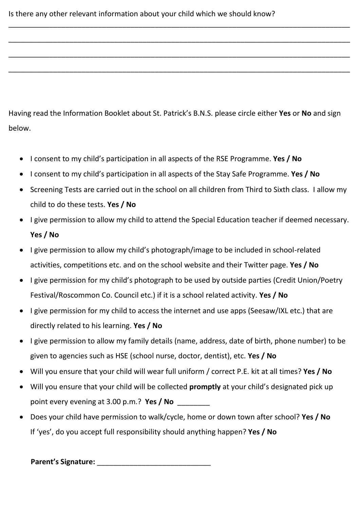Having read the Information Booklet about St. Patrick's B.N.S. please circle either **Yes** or **No** and sign below.

\_\_\_\_\_\_\_\_\_\_\_\_\_\_\_\_\_\_\_\_\_\_\_\_\_\_\_\_\_\_\_\_\_\_\_\_\_\_\_\_\_\_\_\_\_\_\_\_\_\_\_\_\_\_\_\_\_\_\_\_\_\_\_\_\_\_\_\_\_\_\_\_\_\_\_\_\_\_\_\_\_\_\_\_

\_\_\_\_\_\_\_\_\_\_\_\_\_\_\_\_\_\_\_\_\_\_\_\_\_\_\_\_\_\_\_\_\_\_\_\_\_\_\_\_\_\_\_\_\_\_\_\_\_\_\_\_\_\_\_\_\_\_\_\_\_\_\_\_\_\_\_\_\_\_\_\_\_\_\_\_\_\_\_\_\_\_\_\_

\_\_\_\_\_\_\_\_\_\_\_\_\_\_\_\_\_\_\_\_\_\_\_\_\_\_\_\_\_\_\_\_\_\_\_\_\_\_\_\_\_\_\_\_\_\_\_\_\_\_\_\_\_\_\_\_\_\_\_\_\_\_\_\_\_\_\_\_\_\_\_\_\_\_\_\_\_\_\_\_\_\_\_\_

\_\_\_\_\_\_\_\_\_\_\_\_\_\_\_\_\_\_\_\_\_\_\_\_\_\_\_\_\_\_\_\_\_\_\_\_\_\_\_\_\_\_\_\_\_\_\_\_\_\_\_\_\_\_\_\_\_\_\_\_\_\_\_\_\_\_\_\_\_\_\_\_\_\_\_\_\_\_\_\_\_\_\_\_

- I consent to my child's participation in all aspects of the RSE Programme. **Yes / No**
- I consent to my child's participation in all aspects of the Stay Safe Programme. **Yes / No**
- Screening Tests are carried out in the school on all children from Third to Sixth class. I allow my child to do these tests. **Yes / No**
- I give permission to allow my child to attend the Special Education teacher if deemed necessary. **Yes / No**
- I give permission to allow my child's photograph/image to be included in school-related activities, competitions etc. and on the school website and their Twitter page. **Yes / No**
- I give permission for my child's photograph to be used by outside parties (Credit Union/Poetry Festival/Roscommon Co. Council etc.) if it is a school related activity. **Yes / No**
- I give permission for my child to access the internet and use apps (Seesaw/IXL etc.) that are directly related to his learning. **Yes / No**
- I give permission to allow my family details (name, address, date of birth, phone number) to be given to agencies such as HSE (school nurse, doctor, dentist), etc. **Yes / No**
- Will you ensure that your child will wear full uniform / correct P.E. kit at all times? **Yes / No**
- Will you ensure that your child will be collected **promptly** at your child's designated pick up point every evening at 3.00 p.m.? **Yes / No** \_\_\_\_\_\_\_\_
- Does your child have permission to walk/cycle, home or down town after school? **Yes / No** If 'yes', do you accept full responsibility should anything happen? **Yes / No**

**Parent's Signature: Parent's Signature: Parent's Signature:**